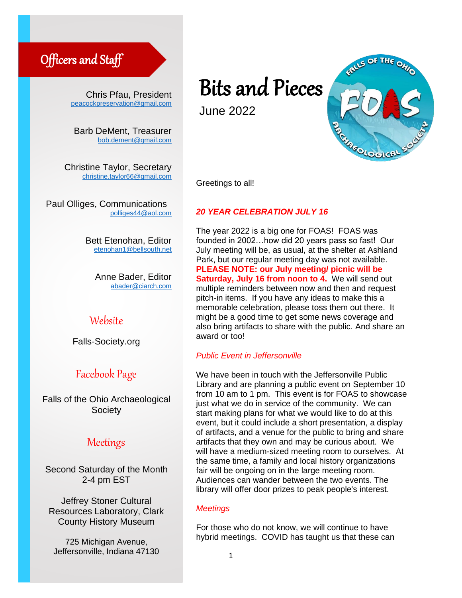# Officers and Staff

Chris Pfau, President [peacockpreservation@gmail.com](mailto:peacockpreservation@gmail.com)

Barb DeMent, Treasurer [bob.dement@gmail.com](mailto:bob.dement@gmail.com)

Christine Taylor, Secretary [christine.taylor66@gmail.com](mailto:christine.taylor66@gmail.com)

Paul Olliges, Communications [polliges44@aol.com](mailto:polliges44@aol.com)

> Bett Etenohan, Editor [etenohan1@bellsouth.net](mailto:etenohan1@bellsouth.net)

> > Anne Bader, Editor [abader@ciarch.com](mailto:abader@ciarch.com)

# Website

Falls-Society.org

# Facebook Page

Falls of the Ohio Archaeological **Society** 

# Meetings

Second Saturday of the Month 2-4 pm EST

Jeffrey Stoner Cultural Resources Laboratory, Clark County History Museum

725 Michigan Avenue, Jeffersonville, Indiana 47130

# Bits and Pieces

June 2022



Greetings to all!

#### *20 YEAR CELEBRATION JULY 16*

The year 2022 is a big one for FOAS! FOAS was founded in 2002…how did 20 years pass so fast! Our July meeting will be, as usual, at the shelter at Ashland Park, but our regular meeting day was not available. **PLEASE NOTE: our July meeting/ picnic will be Saturday, July 16 from noon to 4.** We will send out multiple reminders between now and then and request pitch-in items. If you have any ideas to make this a memorable celebration, please toss them out there. It might be a good time to get some news coverage and also bring artifacts to share with the public. And share an award or too! 20<br>-<br>~ PLEASE NOTE: our July me<br>Saturday, July 16 from noon<br>nultiple reminders between no<br>bitch-in items. If you have any

#### *Public Event in Jeffersonville*

We have been in touch with the Jeffersonville Public Library and are planning a public event on September 10 from 10 am to 1 pm. This event is for FOAS to showcase just what we do in service of the community. We can start making plans for what we would like to do at this event, but it could include a short presentation, a display of artifacts, and a venue for the public to bring and share artifacts that they own and may be curious about. We will have a medium-sized meeting room to ourselves. At the same time, a family and local history organizations fair will be ongoing on in the large meeting room. Audiences can wander between the two events. The library will offer door prizes to peak people's interest.

#### *Meetings*

For those who do not know, we will continue to have hybrid meetings. COVID has taught us that these can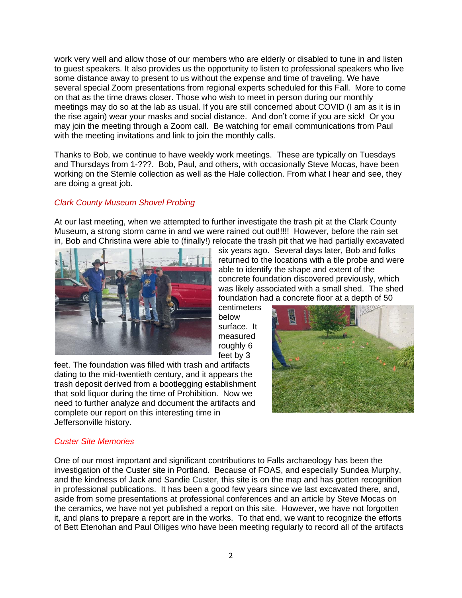work very well and allow those of our members who are elderly or disabled to tune in and listen to guest speakers. It also provides us the opportunity to listen to professional speakers who live some distance away to present to us without the expense and time of traveling. We have several special Zoom presentations from regional experts scheduled for this Fall. More to come on that as the time draws closer. Those who wish to meet in person during our monthly meetings may do so at the lab as usual. If you are still concerned about COVID (I am as it is in the rise again) wear your masks and social distance. And don't come if you are sick! Or you may join the meeting through a Zoom call. Be watching for email communications from Paul with the meeting invitations and link to join the monthly calls.

Thanks to Bob, we continue to have weekly work meetings. These are typically on Tuesdays and Thursdays from 1-???. Bob, Paul, and others, with occasionally Steve Mocas, have been working on the Stemle collection as well as the Hale collection. From what I hear and see, they are doing a great job.

## *Clark County Museum Shovel Probing*

At our last meeting, when we attempted to further investigate the trash pit at the Clark County Museum, a strong storm came in and we were rained out out!!!!! However, before the rain set in, Bob and Christina were able to (finally!) relocate the trash pit that we had partially excavated



six years ago. Several days later, Bob and folks returned to the locations with a tile probe and were able to identify the shape and extent of the concrete foundation discovered previously, which was likely associated with a small shed. The shed foundation had a concrete floor at a depth of 50

centimeters below surface. It measured roughly 6 feet by 3

feet. The foundation was filled with trash and artifacts dating to the mid-twentieth century, and it appears the trash deposit derived from a bootlegging establishment that sold liquor during the time of Prohibition. Now we need to further analyze and document the artifacts and complete our report on this interesting time in Jeffersonville history.



#### *Custer Site Memories*

One of our most important and significant contributions to Falls archaeology has been the investigation of the Custer site in Portland. Because of FOAS, and especially Sundea Murphy, and the kindness of Jack and Sandie Custer, this site is on the map and has gotten recognition in professional publications. It has been a good few years since we last excavated there, and, aside from some presentations at professional conferences and an article by Steve Mocas on the ceramics, we have not yet published a report on this site. However, we have not forgotten it, and plans to prepare a report are in the works. To that end, we want to recognize the efforts of Bett Etenohan and Paul Olliges who have been meeting regularly to record all of the artifacts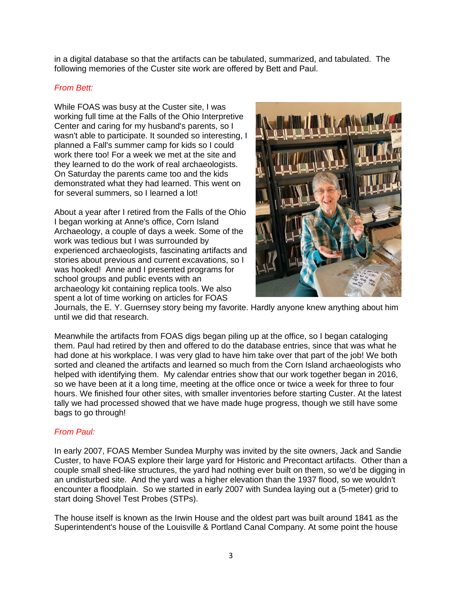in a digital database so that the artifacts can be tabulated, summarized, and tabulated. The following memories of the Custer site work are offered by Bett and Paul.

#### *From Bett:*

While FOAS was busy at the Custer site, I was working full time at the Falls of the Ohio Interpretive Center and caring for my husband's parents, so I wasn't able to participate. It sounded so interesting, I planned a Fall's summer camp for kids so I could work there too! For a week we met at the site and they learned to do the work of real archaeologists. On Saturday the parents came too and the kids demonstrated what they had learned. This went on for several summers, so I learned a lot!

About a year after I retired from the Falls of the Ohio I began working at Anne's office, Corn Island Archaeology, a couple of days a week. Some of the work was tedious but I was surrounded by experienced archaeologists, fascinating artifacts and stories about previous and current excavations, so I was hooked! Anne and I presented programs for school groups and public events with an archaeology kit containing replica tools. We also spent a lot of time working on articles for FOAS



Journals, the E. Y. Guernsey story being my favorite. Hardly anyone knew anything about him until we did that research.

Meanwhile the artifacts from FOAS digs began piling up at the office, so I began cataloging them. Paul had retired by then and offered to do the database entries, since that was what he had done at his workplace. I was very glad to have him take over that part of the job! We both sorted and cleaned the artifacts and learned so much from the Corn Island archaeologists who helped with identifying them. My calendar entries show that our work together began in 2016, so we have been at it a long time, meeting at the office once or twice a week for three to four hours. We finished four other sites, with smaller inventories before starting Custer. At the latest tally we had processed showed that we have made huge progress, though we still have some bags to go through!

# *From Paul:*

In early 2007, FOAS Member Sundea Murphy was invited by the site owners, Jack and Sandie Custer, to have FOAS explore their large yard for Historic and Precontact artifacts. Other than a couple small shed-like structures, the yard had nothing ever built on them, so we'd be digging in an undisturbed site. And the yard was a higher elevation than the 1937 flood, so we wouldn't encounter a floodplain. So we started in early 2007 with Sundea laying out a (5-meter) grid to start doing Shovel Test Probes (STPs).

The house itself is known as the Irwin House and the oldest part was built around 1841 as the Superintendent's house of the Louisville & Portland Canal Company. At some point the house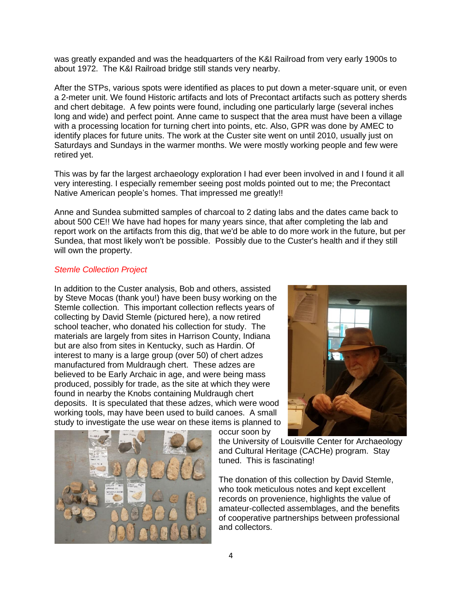was greatly expanded and was the headquarters of the K&I Railroad from very early 1900s to about 1972. The K&I Railroad bridge still stands very nearby.

After the STPs, various spots were identified as places to put down a meter-square unit, or even a 2-meter unit. We found Historic artifacts and lots of Precontact artifacts such as pottery sherds and chert debitage. A few points were found, including one particularly large (several inches long and wide) and perfect point. Anne came to suspect that the area must have been a village with a processing location for turning chert into points, etc. Also, GPR was done by AMEC to identify places for future units. The work at the Custer site went on until 2010, usually just on Saturdays and Sundays in the warmer months. We were mostly working people and few were retired yet.

This was by far the largest archaeology exploration I had ever been involved in and I found it all very interesting. I especially remember seeing post molds pointed out to me; the Precontact Native American people's homes. That impressed me greatly!!

Anne and Sundea submitted samples of charcoal to 2 dating labs and the dates came back to about 500 CE!! We have had hopes for many years since, that after completing the lab and report work on the artifacts from this dig, that we'd be able to do more work in the future, but per Sundea, that most likely won't be possible. Possibly due to the Custer's health and if they still will own the property.

#### *Stemle Collection Project*

In addition to the Custer analysis, Bob and others, assisted by Steve Mocas (thank you!) have been busy working on the Stemle collection. This important collection reflects years of collecting by David Stemle (pictured here), a now retired school teacher, who donated his collection for study. The materials are largely from sites in Harrison County, Indiana but are also from sites in Kentucky, such as Hardin. Of interest to many is a large group (over 50) of chert adzes manufactured from Muldraugh chert. These adzes are believed to be Early Archaic in age, and were being mass produced, possibly for trade, as the site at which they were found in nearby the Knobs containing Muldraugh chert deposits. It is speculated that these adzes, which were wood working tools, may have been used to build canoes. A small study to investigate the use wear on these items is planned to occur soon by





the University of Louisville Center for Archaeology and Cultural Heritage (CACHe) program. Stay tuned. This is fascinating!

The donation of this collection by David Stemle, who took meticulous notes and kept excellent records on provenience, highlights the value of amateur-collected assemblages, and the benefits of cooperative partnerships between professional and collectors.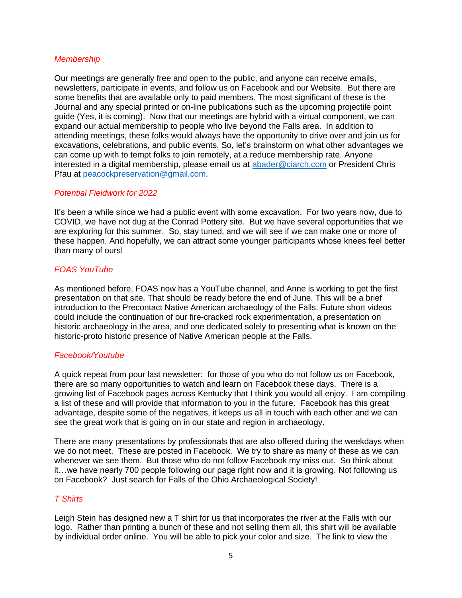#### *Membership*

Our meetings are generally free and open to the public, and anyone can receive emails, newsletters, participate in events, and follow us on Facebook and our Website. But there are some benefits that are available only to paid members. The most significant of these is the Journal and any special printed or on-line publications such as the upcoming projectile point guide (Yes, it is coming). Now that our meetings are hybrid with a virtual component, we can expand our actual membership to people who live beyond the Falls area. In addition to attending meetings, these folks would always have the opportunity to drive over and join us for excavations, celebrations, and public events. So, let's brainstorm on what other advantages we can come up with to tempt folks to join remotely, at a reduce membership rate. Anyone interested in a digital membership, please email us at [abader@ciarch.com](mailto:abader@ciarch.com) or President Chris Pfau at [peacockpreservation@gmail.com.](mailto:peacockpreservation@gmail.com)

#### *Potential Fieldwork for 2022*

It's been a while since we had a public event with some excavation. For two years now, due to COVID, we have not dug at the Conrad Pottery site. But we have several opportunities that we are exploring for this summer. So, stay tuned, and we will see if we can make one or more of these happen. And hopefully, we can attract some younger participants whose knees feel better than many of ours!

#### *FOAS YouTube*

As mentioned before, FOAS now has a YouTube channel, and Anne is working to get the first presentation on that site. That should be ready before the end of June. This will be a brief introduction to the Precontact Native American archaeology of the Falls. Future short videos could include the continuation of our fire-cracked rock experimentation, a presentation on historic archaeology in the area, and one dedicated solely to presenting what is known on the historic-proto historic presence of Native American people at the Falls.

#### *Facebook/Youtube*

A quick repeat from pour last newsletter: for those of you who do not follow us on Facebook, there are so many opportunities to watch and learn on Facebook these days. There is a growing list of Facebook pages across Kentucky that I think you would all enjoy. I am compiling a list of these and will provide that information to you in the future. Facebook has this great advantage, despite some of the negatives, it keeps us all in touch with each other and we can see the great work that is going on in our state and region in archaeology.

There are many presentations by professionals that are also offered during the weekdays when we do not meet. These are posted in Facebook. We try to share as many of these as we can whenever we see them. But those who do not follow Facebook my miss out. So think about it…we have nearly 700 people following our page right now and it is growing. Not following us on Facebook? Just search for Falls of the Ohio Archaeological Society!

## *T Shirts*

Leigh Stein has designed new a T shirt for us that incorporates the river at the Falls with our logo. Rather than printing a bunch of these and not selling them all, this shirt will be available by individual order online. You will be able to pick your color and size. The link to view the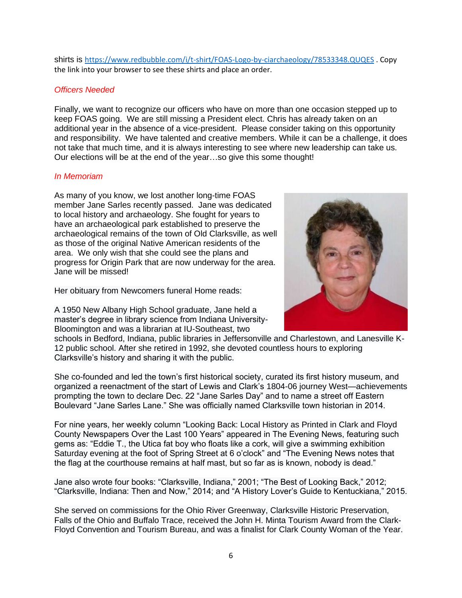shirts is <https://www.redbubble.com/i/t-shirt/FOAS-Logo-by-ciarchaeology/78533348.QUQES> . Copy the link into your browser to see these shirts and place an order.

#### *Officers Needed*

Finally, we want to recognize our officers who have on more than one occasion stepped up to keep FOAS going. We are still missing a President elect. Chris has already taken on an additional year in the absence of a vice-president. Please consider taking on this opportunity and responsibility. We have talented and creative members. While it can be a challenge, it does not take that much time, and it is always interesting to see where new leadership can take us. Our elections will be at the end of the year…so give this some thought!

#### *In Memoriam*

As many of you know, we lost another long-time FOAS member Jane Sarles recently passed. Jane was dedicated to local history and archaeology. She fought for years to have an archaeological park established to preserve the archaeological remains of the town of Old Clarksville, as well as those of the original Native American residents of the area. We only wish that she could see the plans and progress for Origin Park that are now underway for the area. Jane will be missed!

Her obituary from Newcomers funeral Home reads:

A 1950 New Albany High School graduate, Jane held a master's degree in library science from Indiana University-Bloomington and was a librarian at IU-Southeast, two



schools in Bedford, Indiana, public libraries in Jeffersonville and Charlestown, and Lanesville K-12 public school. After she retired in 1992, she devoted countless hours to exploring Clarksville's history and sharing it with the public.

She co-founded and led the town's first historical society, curated its first history museum, and organized a reenactment of the start of Lewis and Clark's 1804-06 journey West—achievements prompting the town to declare Dec. 22 "Jane Sarles Day" and to name a street off Eastern Boulevard "Jane Sarles Lane." She was officially named Clarksville town historian in 2014.

For nine years, her weekly column "Looking Back: Local History as Printed in Clark and Floyd County Newspapers Over the Last 100 Years" appeared in The Evening News, featuring such gems as: "Eddie T., the Utica fat boy who floats like a cork, will give a swimming exhibition Saturday evening at the foot of Spring Street at 6 o'clock" and "The Evening News notes that the flag at the courthouse remains at half mast, but so far as is known, nobody is dead."

Jane also wrote four books: "Clarksville, Indiana," 2001; "The Best of Looking Back," 2012; "Clarksville, Indiana: Then and Now," 2014; and "A History Lover's Guide to Kentuckiana," 2015.

She served on commissions for the Ohio River Greenway, Clarksville Historic Preservation, Falls of the Ohio and Buffalo Trace, received the John H. Minta Tourism Award from the Clark-Floyd Convention and Tourism Bureau, and was a finalist for Clark County Woman of the Year.